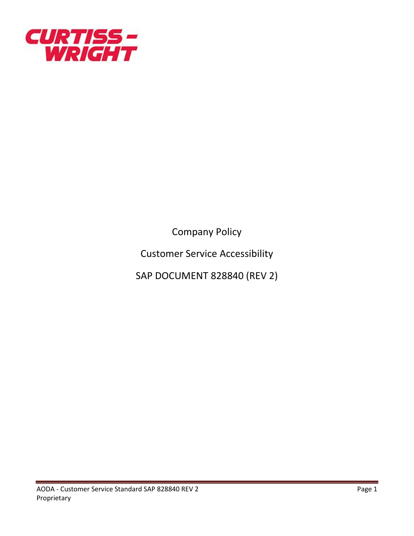

Company Policy

Customer Service Accessibility

SAP DOCUMENT 828840 (REV 2)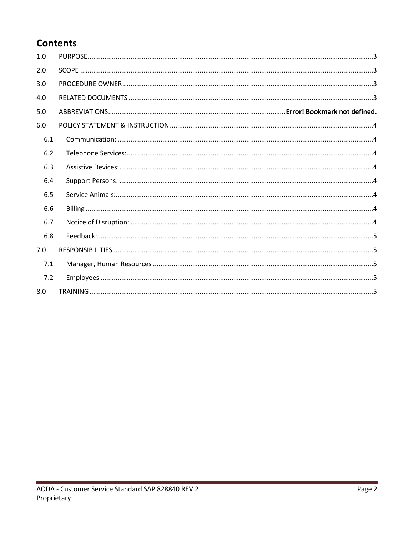# **Contents**

| 1.0 |  |
|-----|--|
| 2.0 |  |
| 3.0 |  |
| 4.0 |  |
| 5.0 |  |
| 6.0 |  |
| 6.1 |  |
| 6.2 |  |
| 6.3 |  |
| 6.4 |  |
| 6.5 |  |
| 6.6 |  |
| 6.7 |  |
| 6.8 |  |
| 7.0 |  |
| 7.1 |  |
| 7.2 |  |
| 8.0 |  |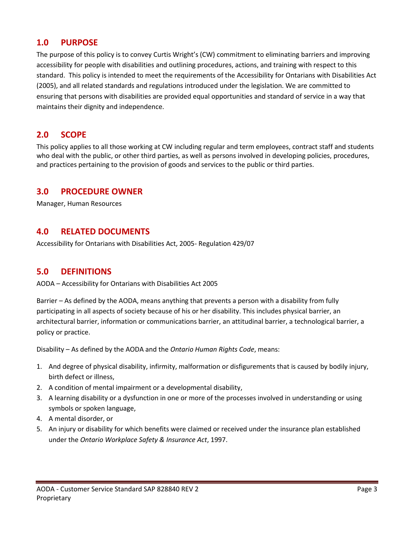#### <span id="page-2-0"></span>**1.0 PURPOSE**

The purpose of this policy is to convey Curtis Wright's (CW) commitment to eliminating barriers and improving accessibility for people with disabilities and outlining procedures, actions, and training with respect to this standard. This policy is intended to meet the requirements of the Accessibility for Ontarians with Disabilities Act (2005), and all related standards and regulations introduced under the legislation. We are committed to ensuring that persons with disabilities are provided equal opportunities and standard of service in a way that maintains their dignity and independence.

# <span id="page-2-1"></span>**2.0 SCOPE**

This policy applies to all those working at CW including regular and term employees, contract staff and students who deal with the public, or other third parties, as well as persons involved in developing policies, procedures, and practices pertaining to the provision of goods and services to the public or third parties.

# <span id="page-2-2"></span>**3.0 PROCEDURE OWNER**

Manager, Human Resources

# <span id="page-2-3"></span>**4.0 RELATED DOCUMENTS**

Accessibility for Ontarians with Disabilities Act, 2005- Regulation 429/07

#### **5.0 DEFINITIONS**

AODA – Accessibility for Ontarians with Disabilities Act 2005

Barrier – As defined by the AODA, means anything that prevents a person with a disability from fully participating in all aspects of society because of his or her disability. This includes physical barrier, an architectural barrier, information or communications barrier, an attitudinal barrier, a technological barrier, a policy or practice.

Disability – As defined by the AODA and the *Ontario Human Rights Code*, means:

- 1. And degree of physical disability, infirmity, malformation or disfigurements that is caused by bodily injury, birth defect or illness,
- 2. A condition of mental impairment or a developmental disability,
- 3. A learning disability or a dysfunction in one or more of the processes involved in understanding or using symbols or spoken language,
- 4. A mental disorder, or
- 5. An injury or disability for which benefits were claimed or received under the insurance plan established under the *Ontario Workplace Safety & Insurance Act*, 1997.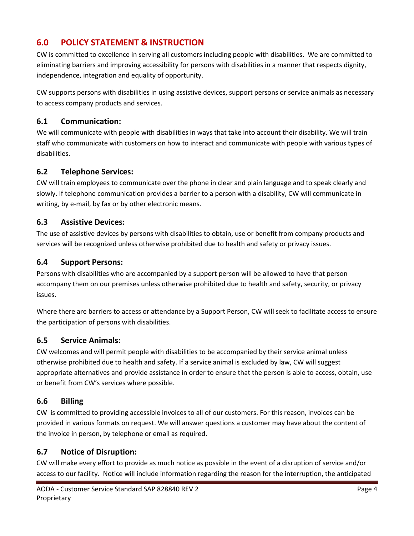# <span id="page-3-0"></span>**6.0 POLICY STATEMENT & INSTRUCTION**

CW is committed to excellence in serving all customers including people with disabilities. We are committed to eliminating barriers and improving accessibility for persons with disabilities in a manner that respects dignity, independence, integration and equality of opportunity.

CW supports persons with disabilities in using assistive devices, support persons or service animals as necessary to access company products and services.

#### <span id="page-3-1"></span>**6.1 Communication:**

We will communicate with people with disabilities in ways that take into account their disability. We will train staff who communicate with customers on how to interact and communicate with people with various types of disabilities.

#### <span id="page-3-2"></span>**6.2 Telephone Services:**

CW will train employees to communicate over the phone in clear and plain language and to speak clearly and slowly. If telephone communication provides a barrier to a person with a disability, CW will communicate in writing, by e-mail, by fax or by other electronic means.

#### <span id="page-3-3"></span>**6.3 Assistive Devices:**

The use of assistive devices by persons with disabilities to obtain, use or benefit from company products and services will be recognized unless otherwise prohibited due to health and safety or privacy issues.

#### <span id="page-3-4"></span>**6.4 Support Persons:**

Persons with disabilities who are accompanied by a support person will be allowed to have that person accompany them on our premises unless otherwise prohibited due to health and safety, security, or privacy issues.

Where there are barriers to access or attendance by a Support Person, CW will seek to facilitate access to ensure the participation of persons with disabilities.

# <span id="page-3-5"></span>**6.5 Service Animals:**

CW welcomes and will permit people with disabilities to be accompanied by their service animal unless otherwise prohibited due to health and safety. If a service animal is excluded by law, CW will suggest appropriate alternatives and provide assistance in order to ensure that the person is able to access, obtain, use or benefit from CW's services where possible.

#### <span id="page-3-6"></span>**6.6 Billing**

CW is committed to providing accessible invoices to all of our customers. For this reason, invoices can be provided in various formats on request. We will answer questions a customer may have about the content of the invoice in person, by telephone or email as required.

#### <span id="page-3-7"></span>**6.7 Notice of Disruption:**

CW will make every effort to provide as much notice as possible in the event of a disruption of service and/or access to our facility. Notice will include information regarding the reason for the interruption, the anticipated